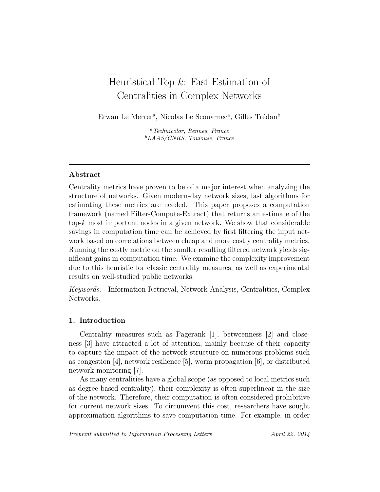# Heuristical Top-k: Fast Estimation of Centralities in Complex Networks

Erwan Le Merrer<sup>a</sup>, Nicolas Le Scouarnec<sup>a</sup>, Gilles Trédan<sup>b</sup>

<sup>a</sup>Technicolor, Rennes, France <sup>b</sup>LAAS/CNRS, Toulouse, France

## Abstract

Centrality metrics have proven to be of a major interest when analyzing the structure of networks. Given modern-day network sizes, fast algorithms for estimating these metrics are needed. This paper proposes a computation framework (named Filter-Compute-Extract) that returns an estimate of the top- $k$  most important nodes in a given network. We show that considerable savings in computation time can be achieved by first filtering the input network based on correlations between cheap and more costly centrality metrics. Running the costly metric on the smaller resulting filtered network yields significant gains in computation time. We examine the complexity improvement due to this heuristic for classic centrality measures, as well as experimental results on well-studied public networks.

Keywords: Information Retrieval, Network Analysis, Centralities, Complex Networks.

## 1. Introduction

Centrality measures such as Pagerank [1], betweenness [2] and closeness [3] have attracted a lot of attention, mainly because of their capacity to capture the impact of the network structure on numerous problems such as congestion [4], network resilience [5], worm propagation [6], or distributed network monitoring [7].

As many centralities have a global scope (as opposed to local metrics such as degree-based centrality), their complexity is often superlinear in the size of the network. Therefore, their computation is often considered prohibitive for current network sizes. To circumvent this cost, researchers have sought approximation algorithms to save computation time. For example, in order

Preprint submitted to Information Processing Letters April 22, 2014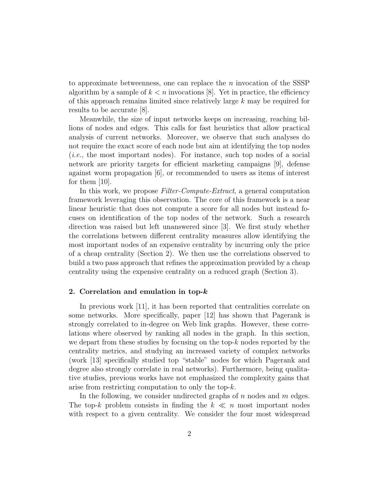to approximate betweenness, one can replace the  $n$  invocation of the SSSP algorithm by a sample of  $k < n$  invocations [8]. Yet in practice, the efficiency of this approach remains limited since relatively large k may be required for results to be accurate [8].

Meanwhile, the size of input networks keeps on increasing, reaching billions of nodes and edges. This calls for fast heuristics that allow practical analysis of current networks. Moreover, we observe that such analyses do not require the exact score of each node but aim at identifying the top nodes (i.e., the most important nodes). For instance, such top nodes of a social network are priority targets for efficient marketing campaigns [9], defense against worm propagation [6], or recommended to users as items of interest for them [10].

In this work, we propose Filter-Compute-Extract, a general computation framework leveraging this observation. The core of this framework is a near linear heuristic that does not compute a score for all nodes but instead focuses on identification of the top nodes of the network. Such a research direction was raised but left unanswered since [3]. We first study whether the correlations between different centrality measures allow identifying the most important nodes of an expensive centrality by incurring only the price of a cheap centrality (Section 2). We then use the correlations observed to build a two pass approach that refines the approximation provided by a cheap centrality using the expensive centrality on a reduced graph (Section 3).

#### 2. Correlation and emulation in top-k

In previous work [11], it has been reported that centralities correlate on some networks. More specifically, paper [12] has shown that Pagerank is strongly correlated to in-degree on Web link graphs. However, these correlations where observed by ranking all nodes in the graph. In this section, we depart from these studies by focusing on the top- $k$  nodes reported by the centrality metrics, and studying an increased variety of complex networks (work [13] specifically studied top "stable" nodes for which Pagerank and degree also strongly correlate in real networks). Furthermore, being qualitative studies, previous works have not emphasized the complexity gains that arise from restricting computation to only the top-k.

In the following, we consider undirected graphs of  $n$  nodes and  $m$  edges. The top-k problem consists in finding the  $k \ll n$  most important nodes with respect to a given centrality. We consider the four most widespread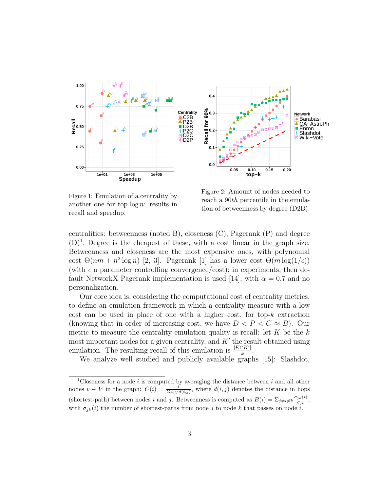

Figure 1: Emulation of a centrality by another one for top-log  $n$ : results in recall and speedup.

Figure 2: Amount of nodes needed to reach a 90th percentile in the emulation of betweenness by degree (D2B).

centralities: betweenness (noted B), closeness (C), Pagerank (P) and degree  $(D)^1$ . Degree is the cheapest of these, with a cost linear in the graph size. Betweenness and closeness are the most expensive ones, with polynomial cost  $\Theta(nm + n^2 \log n)$  [2, 3]. Pagerank [1] has a lower cost  $\Theta(m \log(1/\epsilon))$ (with  $\epsilon$  a parameter controlling convergence/cost); in experiments, then default NetworkX Pagerank implementation is used [14], with  $\alpha = 0.7$  and no personalization.

Our core idea is, considering the computational cost of centrality metrics, to define an emulation framework in which a centrality measure with a low cost can be used in place of one with a higher cost, for top- $k$  extraction (knowing that in order of increasing cost, we have  $D < P < C \approx B$ ). Our metric to measure the centrality emulation quality is recall: let  $K$  be the  $k$ most important nodes for a given centrality, and  $K'$  the result obtained using emulation. The resulting recall of this emulation is  $\frac{|K \cap K'|}{k}$  $\frac{|K'|}{k}$ .

We analyze well studied and publicly available graphs [15]: Slashdot,

<sup>&</sup>lt;sup>1</sup>Closeness for a node i is computed by averaging the distance between i and all other nodes  $v \in V$  in the graph:  $C(i) = \frac{1}{\sum_{j \in V} d(i,j)}$ , where  $d(i,j)$  denotes the distance in hops (shortest-path) between nodes i and j. Betweenness is computed as  $B(i) = \sum_{j \neq i \neq k} \frac{\sigma_{jk}(i)}{\sigma_{ik}}$  $\frac{j k(l)}{\sigma_{jk}},$ with  $\sigma_{jk}(i)$  the number of shortest-paths from node j to node k that passes on node i.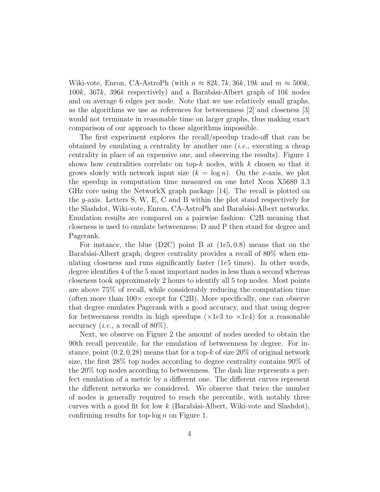Wiki-vote, Enron, CA-AstroPh (with  $n \approx 82k$ , 7k, 36k, 19k and  $m \approx 500k$ ,  $100k$ ,  $367k$ ,  $396k$  respectively) and a Barabási-Albert graph of  $10k$  nodes and on average 6 edges per node. Note that we use relatively small graphs, as the algorithms we use as references for betweenness [2] and closeness [3] would not terminate in reasonable time on larger graphs, thus making exact comparison of our approach to those algorithms impossible.

The first experiment explores the recall/speedup trade-off that can be obtained by emulating a centrality by another one (i.e., executing a cheap centrality in place of an expensive one, and observing the results). Figure 1 shows how centralities correlate on top- $k$  nodes, with  $k$  chosen so that it grows slowly with network input size  $(k = \log n)$ . On the x-axis, we plot the speedup in computation time measured on one Intel Xeon X5680 3.3 GHz core using the NetworkX graph package [14]. The recall is plotted on the y-axis. Letters S, W, E, C and B within the plot stand respectively for the Slashdot, Wiki-vote, Enron, CA-AstroPh and Barabási-Albert networks. Emulation results are compared on a pairwise fashion: C2B meaning that closeness is used to emulate betweenness; D and P then stand for degree and Pagerank.

For instance, the blue  $(D2C)$  point B at  $(1e5, 0.8)$  means that on the Barabási-Albert graph, degree centrality provides a recall of 80% when emulating closeness and runs significantly faster (1e5 times). In other words, degree identifies 4 of the 5 most important nodes in less than a second whereas closeness took approximately 2 hours to identify all 5 top nodes. Most points are above 75% of recall, while considerably reducing the computation time (often more than  $100\times$  except for C2B). More specifically, one can observe that degree emulates Pagerank with a good accuracy, and that using degree for betweenness results in high speedups ( $\times 1e3$  to  $\times 1e4$ ) for a reasonable accuracy (*i.e.*, a recall of  $80\%$ ).

Next, we observe on Figure 2 the amount of nodes needed to obtain the 90th recall percentile, for the emulation of betweenness by degree. For instance, point  $(0.2, 0.28)$  means that for a top-k of size  $20\%$  of original network size, the first 28% top nodes according to degree centrality contains 90% of the 20% top nodes according to betweenness. The dash line represents a perfect emulation of a metric by a different one. The different curves represent the different networks we considered. We observe that twice the number of nodes is generally required to reach the percentile, with notably three curves with a good fit for low  $k$  (Barabási-Albert, Wiki-vote and Slashdot), confirming results for top-log  $n$  on Figure 1.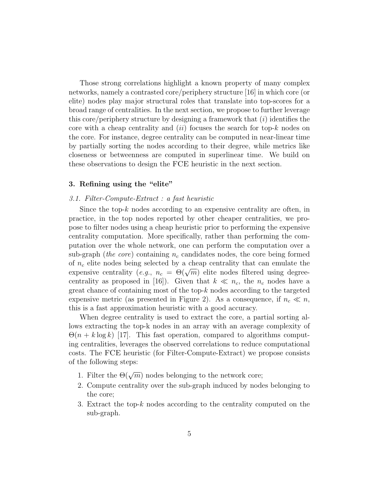Those strong correlations highlight a known property of many complex networks, namely a contrasted core/periphery structure [16] in which core (or elite) nodes play major structural roles that translate into top-scores for a broad range of centralities. In the next section, we propose to further leverage this core/periphery structure by designing a framework that  $(i)$  identifies the core with a cheap centrality and  $(ii)$  focuses the search for top-k nodes on the core. For instance, degree centrality can be computed in near-linear time by partially sorting the nodes according to their degree, while metrics like closeness or betweenness are computed in superlinear time. We build on these observations to design the FCE heuristic in the next section.

## 3. Refining using the "elite"

### 3.1. Filter-Compute-Extract : a fast heuristic

Since the top- $k$  nodes according to an expensive centrality are often, in practice, in the top nodes reported by other cheaper centralities, we propose to filter nodes using a cheap heuristic prior to performing the expensive centrality computation. More specifically, rather than performing the computation over the whole network, one can perform the computation over a sub-graph (*the core*) containing  $n_c$  candidates nodes, the core being formed of  $n_c$  elite nodes being selected by a cheap centrality that can emulate the or  $n_c$  enter nodes being selected by a cheap centrality that can emulate the expensive centrality  $(e.g., n_c = \Theta(\sqrt{m}))$  elite nodes filtered using degreecentrality as proposed in [16]). Given that  $k \ll n_c$ , the  $n_c$  nodes have a great chance of containing most of the top- $k$  nodes according to the targeted expensive metric (as presented in Figure 2). As a consequence, if  $n_c \ll n$ , this is a fast approximation heuristic with a good accuracy.

When degree centrality is used to extract the core, a partial sorting allows extracting the top-k nodes in an array with an average complexity of  $\Theta(n + k \log k)$  [17]. This fast operation, compared to algorithms computing centralities, leverages the observed correlations to reduce computational costs. The FCE heuristic (for Filter-Compute-Extract) we propose consists of the following steps:

- 1. Filter the  $\Theta(\sqrt{m})$  nodes belonging to the network core;
- 2. Compute centrality over the sub-graph induced by nodes belonging to the core;
- 3. Extract the top- $k$  nodes according to the centrality computed on the sub-graph.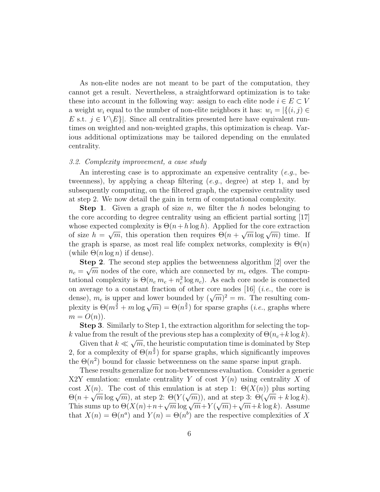As non-elite nodes are not meant to be part of the computation, they cannot get a result. Nevertheless, a straightforward optimization is to take these into account in the following way: assign to each elite node  $i \in E \subset V$ a weight  $w_i$  equal to the number of non-elite neighbors it has:  $w_i = |\{(i, j) \in$ E s.t.  $j \in V \setminus E$ . Since all centralities presented here have equivalent runtimes on weighted and non-weighted graphs, this optimization is cheap. Various additional optimizations may be tailored depending on the emulated centrality.

#### 3.2. Complexity improvement, a case study

An interesting case is to approximate an expensive centrality  $(e.g., be$ tweenness), by applying a cheap filtering  $(e.g.,\text{ degree})$  at step 1, and by subsequently computing, on the filtered graph, the expensive centrality used at step 2. We now detail the gain in term of computational complexity.

**Step 1.** Given a graph of size n, we filter the h nodes belonging to the core according to degree centrality using an efficient partial sorting [17] whose expected complexity is  $\Theta(n+h \log h)$ . Applied for the core extraction whose expected complexity is  $\Theta(n + n \log n)$ . Applied for the core extraction<br>of size  $h = \sqrt{m}$ , this operation then requires  $\Theta(n + \sqrt{m} \log \sqrt{m})$  time. If the graph is sparse, as most real life complex networks, complexity is  $\Theta(n)$ (while  $\Theta(n \log n)$  if dense).

Step 2. The second step applies the betweenness algorithm [2] over the  $n_c = \sqrt{m}$  nodes of the core, which are connected by  $m_c$  edges. The computational complexity is  $\Theta(n_c m_c + n_c^2 \log n_c)$ . As each core node is connected on average to a constant fraction of other core nodes  $[16]$  (*i.e.*, the core is on average to a constant maction of other core houes [10] (*i.e.*, the core is dense),  $m_c$  is upper and lower bounded by  $(\sqrt{m})^2 = m$ . The resulting combetween  $(m_1^3 + m \log \sqrt{m}) = \Theta(n_1^3)$  for sparse graphs (*i.e.*, graphs where  $m = O(n)$ .

Step 3. Similarly to Step 1, the extraction algorithm for selecting the topk value from the result of the previous step has a complexity of  $\Theta(n_c+k\log k)$ .

Given that  $k \ll \sqrt{m}$ , the heuristic computation time is dominated by Step 2, for a complexity of  $\Theta(n^{\frac{3}{2}})$  for sparse graphs, which significantly improves the  $\Theta(n^2)$  bound for classic betweenness on the same sparse input graph.

These results generalize for non-betweenness evaluation. Consider a generic X2Y emulation: emulate centrality Y of cost  $Y(n)$  using centrality X of cost  $X(n)$ . The cost of this emulation is at step 1:  $\Theta(X(n))$  plus sorting COSt  $\Lambda(n)$ . The COSt of this emination is at step 1.  $\Theta(\Lambda(n))$  plus sorting<br>  $\Theta(n + \sqrt{m} \log \sqrt{m})$ , at step 2:  $\Theta(Y(\sqrt{m}))$ , and at step 3:  $\Theta(\sqrt{m} + k \log k)$ .  $\Theta(n + \sqrt{m} \log \sqrt{m})$ , at step 2:  $\Theta(1 + \sqrt{m})$ , and at step 3:  $\Theta(\sqrt{m} + \kappa \log \kappa)$ .<br>This sums up to  $\Theta(X(n) + n + \sqrt{m} \log \sqrt{m} + Y(\sqrt{m}) + \sqrt{m} + k \log k)$ . Assume that  $X(n) = \Theta(n^a)$  and  $Y(n) = \Theta(n^b)$  are the respective complexities of X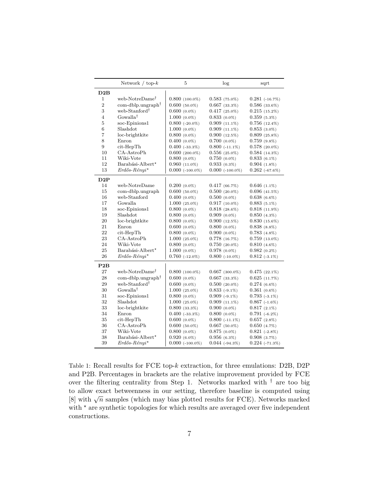|                | Network $/$ top- $k$                    | 5                   | log                | sqrt               |
|----------------|-----------------------------------------|---------------------|--------------------|--------------------|
| D2B            |                                         |                     |                    |                    |
| 1              | web-NotreDame <sup>†</sup>              | $0.800(100.0\%)$    | $0.583(75.0\%)$    | $0.281$ (-16.7%)   |
| $\overline{2}$ | $com\text{-}db$ lp.ungraph <sup>†</sup> | $0.600(50.0\%)$     | $0.667$ (33.3%)    | $0.586$ (33.6%)    |
| 3              | web-Stanford <sup>†</sup>               | $0.600(0.0\%)$      | $0.417(25.0\%)$    | $0.215(15.2\%)$    |
| $\overline{4}$ | Gowalla <sup>†</sup>                    | $1.000(0.0\%)$      | $0.833(0.0\%)$     | $0.359(5.3\%)$     |
| 5              | soc-Epinions1                           | $0.800(-20.0\%)$    | $0.909(11.1\%)$    | $0.756(12.4\%)$    |
| 6              | Slashdot                                | $1.000(0.0\%)$      | $0.909(11.1\%)$    | $0.853(3.0\%)$     |
| $\overline{7}$ | loc-brightkite                          | $0.800(0.0\%)$      | $0.900(12.5\%)$    | $0.809(25.8\%)$    |
| 8              | Enron                                   | $0.400(0.0\%)$      | $0.700(0.0\%)$     | $0.759(9.8\%)$     |
| 9              | cit-HepTh                               | $0.400$ $(-33.3\%)$ | $0.800(-11.1\%)$   | $0.578(20.0\%)$    |
| 10             | CA-AstroPh                              | $0.600(200.0\%)$    | $0.556(25.0\%)$    | $0.584(14.3\%)$    |
| 11             | Wiki-Vote                               | $0.800(0.0\%)$      | $0.750(0.0\%)$     | $0.833(6.1\%)$     |
| 12             | Barabási-Albert*                        | $0.960(11.0\%)$     | $0.933(0.3\%)$     | $0.904(1.8\%)$     |
| 13             | $Erd\H{o}s-R\'{e}nyi*$                  | $0.000$ (-100.0%)   | $0.000 (-100.0\%)$ | $0.262$ (-67.6%)   |
| D2P            |                                         |                     |                    |                    |
| 14             | web-NotreDame                           | $0.200(0.0\%)$      | 0.417(66.7%)       | $0.646(1.1\%)$     |
| 15             | com-dblp.ungraph                        | $0.600(50.0\%)$     | $0.500(20.0\%)$    | $0.696(41.5\%)$    |
| 16             | web-Stanford                            | $0.400(0.0\%)$      | $0.500(0.0\%)$     | $0.638(6.6\%)$     |
| 17             | Gowalla                                 | $1.000(25.0\%)$     | $0.917(10.0\%)$    | $0.883(5.1\%)$     |
| 18             | soc-Epinions1                           | $0.800(0.0\%)$      | $0.818(28.6\%)$    | $0.818(11.9\%)$    |
| 19             | Slashdot                                | $0.800(0.0\%)$      | $0.909(0.0\%)$     | $0.850(4.3\%)$     |
| 20             | loc-brightkite                          | $0.800(0.0\%)$      | $0.900(12.5\%)$    | $0.830(15.6\%)$    |
| 21             | Enron                                   | $0.600(0.0\%)$      | $0.800(0.0\%)$     | $0.838(8.8\%)$     |
| 22             | cit-HepTh                               | $0.800(0.0\%)$      | $0.900(0.0\%)$     | $0.783(4.8\%)$     |
| 23             | CA-AstroPh                              | $1.000(25.0\%)$     | $0.778$ $(16.7\%)$ | $0.759$ $(13.0\%)$ |
| 24             | Wiki-Vote                               | $0.800(0.0\%)$      | $0.750(20.0\%)$    | $0.810(4.6\%)$     |
| 25             | Barabási-Albert*                        | $1.000(0.0\%)$      | $0.978(0.0\%)$     | $0.982(0.2\%)$     |
| 26             | $Erd\H{o}s-R\'{e}nui^{\star}$           | $0.760$ (-12.0%)    | $0.800(-10.0\%)$   | $0.812(-3.1\%)$    |
| P2B            |                                         |                     |                    |                    |
| 27             | web-NotreDame <sup>†</sup>              | $0.800(100.0\%)$    | $0.667$ (300.0%)   | $0.475(22.1\%)$    |
| 28             | $com\text{-}db$ .ungraph <sup>†</sup>   | $0.600(0.0\%)$      | $0.667$ (33.3%)    | $0.625\ (11.7\%)$  |
| 29             | web-Stanford <sup>†</sup>               | $0.600(0.0\%)$      | $0.500(20.0\%)$    | $0.274(6.6\%)$     |
| 30             | Gowalla <sup>†</sup>                    | $1.000(25.0\%)$     | $0.833(-9.1\%)$    | $0.361(0.6\%)$     |
| 31             | soc-Epinions1                           | $0.800(0.0\%)$      | $0.909$ (-9.1%)    | $0.793$ (-3.1%)    |
| 32             | Slashdot                                | $1.000(25.0\%)$     | $0.909(11.1\%)$    | $0.867$ (-1.6%)    |
| 33             | loc-brightkite                          | $0.800(33.3\%)$     | $0.900(0.0\%)$     | $0.817(2.1\%)$     |
| 34             | Enron                                   | $0.400$ $(-33.3\%)$ | $0.800(0.0\%)$     | $0.791(-6.2\%)$    |
| 35             | cit-HepTh                               | $0.600(0.0\%)$      | $0.800(-11.1\%)$   | $0.657(2.8\%)$     |
| 36             | CA-AstroPh                              | $0.600(50.0\%)$     | $0.667(50.0\%)$    | $0.650(4.7\%)$     |
| 37             | Wiki-Vote                               | $0.800(0.0\%)$      | $0.875(0.0\%)$     | $0.821$ (-2.8%)    |
| 38             | Barabási-Albert*                        | $0.920(6.0\%)$      | $0.956(6.3\%)$     | $0.908(3.7\%)$     |
| 39             | $Erd\H{o}s-R\H{e}nyi^{\star}$           | $0.000$ (-100.0%)   | $0.044$ (-94.3%)   | $0.224$ (-71.3%)   |

Table 1: Recall results for FCE top-k extraction, for three emulations: D2B, D2P and P2B. Percentages in brackets are the relative improvement provided by FCE over the filtering centrality from Step 1. Networks marked with  $\dagger$  are too big to allow exact betweenness in our setting, therefore baseline is computed using  $[8]$  with  $\sqrt{n}$  samples (which may bias plotted results for FCE). Networks marked with  $*$  are synthetic topologies for which results are averaged over five independent constructions.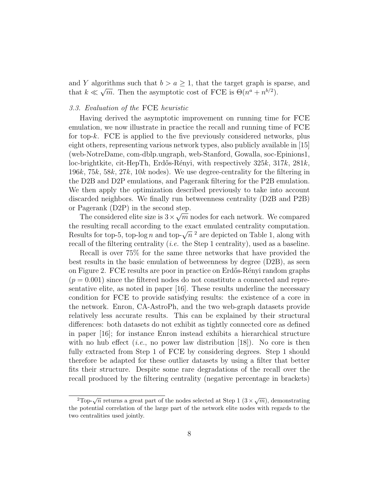and Y algorithms such that  $b > a \ge 1$ , that the target graph is sparse, and that  $k \ll \sqrt{m}$ . Then the asymptotic cost of FCE is  $\Theta(n^a + n^{b/2})$ .

#### 3.3. Evaluation of the FCE heuristic

Having derived the asymptotic improvement on running time for FCE emulation, we now illustrate in practice the recall and running time of FCE for top-k. FCE is applied to the five previously considered networks, plus eight others, representing various network types, also publicly available in [15] (web-NotreDame, com-dblp.ungraph, web-Stanford, Gowalla, soc-Epinions1, loc-brightkite, cit-HepTh, Erdős-Rényi, with respectively  $325k$ ,  $317k$ ,  $281k$ , 196k, 75k, 58k, 27k, 10k nodes). We use degree-centrality for the filtering in the D2B and D2P emulations, and Pagerank filtering for the P2B emulation. We then apply the optimization described previously to take into account discarded neighbors. We finally run betweenness centrality (D2B and P2B) or Pagerank  $(D2P)$  in the second step.

The considered elite size is  $3 \times \sqrt{m}$  nodes for each network. We compared the resulting recall according to the exact emulated centrality computation. the resulting recall according to the exact emulated centrality computation.<br>Results for top-5, top-log n and top- $\sqrt{n}^2$  are depicted on Table 1, along with recall of the filtering centrality (*i.e.* the Step 1 centrality), used as a baseline.

Recall is over 75% for the same three networks that have provided the best results in the basic emulation of betweenness by degree (D2B), as seen on Figure 2. FCE results are poor in practice on Erdős-Rényi random graphs  $(p = 0.001)$  since the filtered nodes do not constitute a connected and representative elite, as noted in paper [16]. These results underline the necessary condition for FCE to provide satisfying results: the existence of a core in the network. Enron, CA-AstroPh, and the two web-graph datasets provide relatively less accurate results. This can be explained by their structural differences: both datasets do not exhibit as tightly connected core as defined in paper [16]; for instance Enron instead exhibits a hierarchical structure with no hub effect (*i.e.*, no power law distribution [18]). No core is then fully extracted from Step 1 of FCE by considering degrees. Step 1 should therefore be adapted for these outlier datasets by using a filter that better fits their structure. Despite some rare degradations of the recall over the recall produced by the filtering centrality (negative percentage in brackets)

 $\sqrt[2]{2}$ Top- $\sqrt{n}$  returns a great part of the nodes selected at Step 1  $(3 \times \sqrt{m})$ , demonstrating the potential correlation of the large part of the network elite nodes with regards to the two centralities used jointly.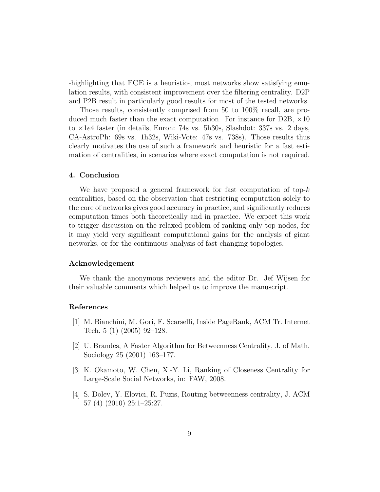-highlighting that FCE is a heuristic-, most networks show satisfying emulation results, with consistent improvement over the filtering centrality. D2P and P2B result in particularly good results for most of the tested networks.

Those results, consistently comprised from 50 to 100% recall, are produced much faster than the exact computation. For instance for D2B,  $\times$ 10 to ×1e4 faster (in details, Enron: 74s vs. 5h30s, Slashdot: 337s vs. 2 days, CA-AstroPh: 69s vs. 1h32s, Wiki-Vote: 47s vs. 738s). Those results thus clearly motivates the use of such a framework and heuristic for a fast estimation of centralities, in scenarios where exact computation is not required.

#### 4. Conclusion

We have proposed a general framework for fast computation of top- $k$ centralities, based on the observation that restricting computation solely to the core of networks gives good accuracy in practice, and significantly reduces computation times both theoretically and in practice. We expect this work to trigger discussion on the relaxed problem of ranking only top nodes, for it may yield very significant computational gains for the analysis of giant networks, or for the continuous analysis of fast changing topologies.

#### Acknowledgement

We thank the anonymous reviewers and the editor Dr. Jef Wijsen for their valuable comments which helped us to improve the manuscript.

## References

- [1] M. Bianchini, M. Gori, F. Scarselli, Inside PageRank, ACM Tr. Internet Tech. 5 (1) (2005) 92–128.
- [2] U. Brandes, A Faster Algorithm for Betweenness Centrality, J. of Math. Sociology 25 (2001) 163–177.
- [3] K. Okamoto, W. Chen, X.-Y. Li, Ranking of Closeness Centrality for Large-Scale Social Networks, in: FAW, 2008.
- [4] S. Dolev, Y. Elovici, R. Puzis, Routing betweenness centrality, J. ACM 57 (4) (2010) 25:1–25:27.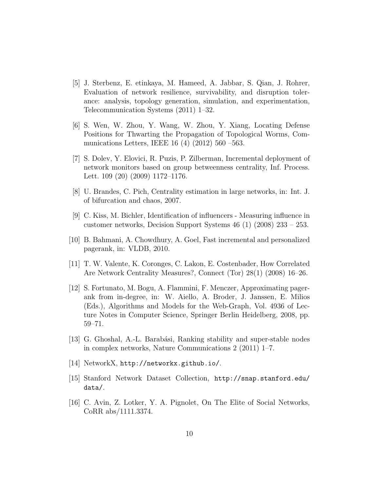- [5] J. Sterbenz, E. etinkaya, M. Hameed, A. Jabbar, S. Qian, J. Rohrer, Evaluation of network resilience, survivability, and disruption tolerance: analysis, topology generation, simulation, and experimentation, Telecommunication Systems (2011) 1–32.
- [6] S. Wen, W. Zhou, Y. Wang, W. Zhou, Y. Xiang, Locating Defense Positions for Thwarting the Propagation of Topological Worms, Communications Letters, IEEE 16 (4) (2012) 560 –563.
- [7] S. Dolev, Y. Elovici, R. Puzis, P. Zilberman, Incremental deployment of network monitors based on group betweenness centrality, Inf. Process. Lett. 109 (20) (2009) 1172–1176.
- [8] U. Brandes, C. Pich, Centrality estimation in large networks, in: Int. J. of bifurcation and chaos, 2007.
- [9] C. Kiss, M. Bichler, Identification of influencers Measuring influence in customer networks, Decision Support Systems 46 (1) (2008) 233 – 253.
- [10] B. Bahmani, A. Chowdhury, A. Goel, Fast incremental and personalized pagerank, in: VLDB, 2010.
- [11] T. W. Valente, K. Coronges, C. Lakon, E. Costenbader, How Correlated Are Network Centrality Measures?, Connect (Tor) 28(1) (2008) 16–26.
- [12] S. Fortunato, M. Bogu, A. Flammini, F. Menczer, Approximating pagerank from in-degree, in: W. Aiello, A. Broder, J. Janssen, E. Milios (Eds.), Algorithms and Models for the Web-Graph, Vol. 4936 of Lecture Notes in Computer Science, Springer Berlin Heidelberg, 2008, pp. 59–71.
- [13] G. Ghoshal, A.-L. Barabási, Ranking stability and super-stable nodes in complex networks, Nature Communications 2 (2011) 1–7.
- [14] NetworkX, http://networkx.github.io/.
- [15] Stanford Network Dataset Collection, http://snap.stanford.edu/ data/.
- [16] C. Avin, Z. Lotker, Y. A. Pignolet, On The Elite of Social Networks, CoRR abs/1111.3374.